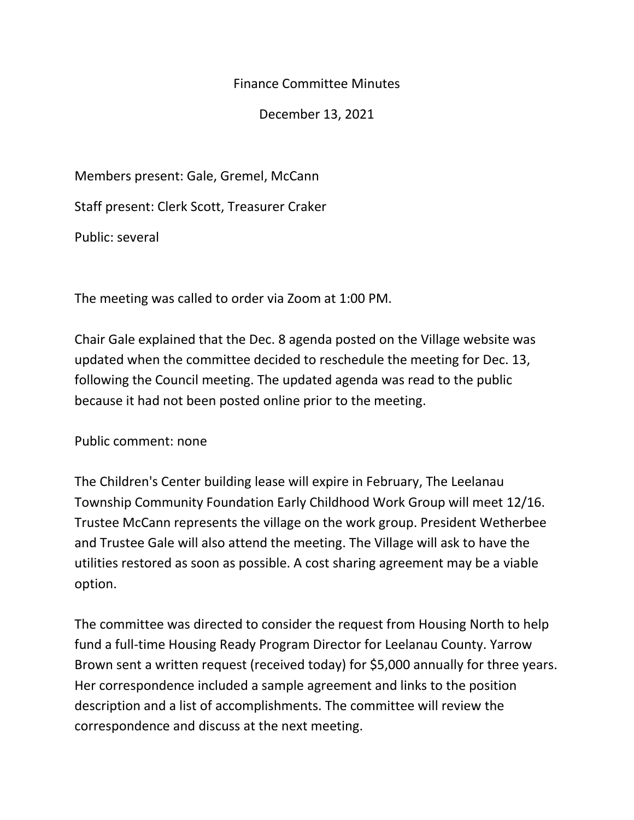## Finance Committee Minutes

December 13, 2021

Members present: Gale, Gremel, McCann

Staff present: Clerk Scott, Treasurer Craker

Public: several

The meeting was called to order via Zoom at 1:00 PM.

Chair Gale explained that the Dec. 8 agenda posted on the Village website was updated when the committee decided to reschedule the meeting for Dec. 13, following the Council meeting. The updated agenda was read to the public because it had not been posted online prior to the meeting.

Public comment: none

The Children's Center building lease will expire in February, The Leelanau Township Community Foundation Early Childhood Work Group will meet 12/16. Trustee McCann represents the village on the work group. President Wetherbee and Trustee Gale will also attend the meeting. The Village will ask to have the utilities restored as soon as possible. A cost sharing agreement may be a viable option.

The committee was directed to consider the request from Housing North to help fund a full-time Housing Ready Program Director for Leelanau County. Yarrow Brown sent a written request (received today) for \$5,000 annually for three years. Her correspondence included a sample agreement and links to the position description and a list of accomplishments. The committee will review the correspondence and discuss at the next meeting.